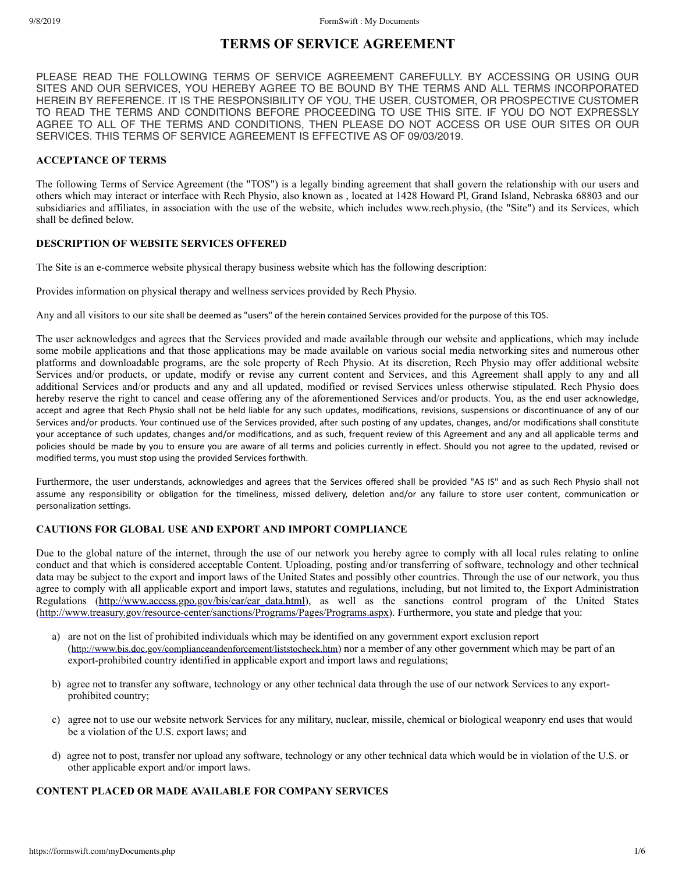# **TERMS OF SERVICE AGREEMENT**

PLEASE READ THE FOLLOWING TERMS OF SERVICE AGREEMENT CAREFULLY. BY ACCESSING OR USING OUR SITES AND OUR SERVICES, YOU HEREBY AGREE TO BE BOUND BY THE TERMS AND ALL TERMS INCORPORATED HEREIN BY REFERENCE. IT IS THE RESPONSIBILITY OF YOU, THE USER, CUSTOMER, OR PROSPECTIVE CUSTOMER TO READ THE TERMS AND CONDITIONS BEFORE PROCEEDING TO USE THIS SITE. IF YOU DO NOT EXPRESSLY AGREE TO ALL OF THE TERMS AND CONDITIONS, THEN PLEASE DO NOT ACCESS OR USE OUR SITES OR OUR SERVICES. THIS TERMS OF SERVICE AGREEMENT IS EFFECTIVE AS OF 09/03/2019.

## **ACCEPTANCE OF TERMS**

The following Terms of Service Agreement (the "TOS") is a legally binding agreement that shall govern the relationship with our users and others which may interact or interface with Rech Physio, also known as , located at 1428 Howard Pl, Grand Island, Nebraska 68803 and our subsidiaries and affiliates, in association with the use of the website, which includes www.rech.physio, (the "Site") and its Services, which shall be defined below.

## **DESCRIPTION OF WEBSITE SERVICES OFFERED**

The Site is an e-commerce website physical therapy business website which has the following description:

Provides information on physical therapy and wellness services provided by Rech Physio.

Any and all visitors to our site shall be deemed as "users" of the herein contained Services provided for the purpose of this TOS.

The user acknowledges and agrees that the Services provided and made available through our website and applications, which may include some mobile applications and that those applications may be made available on various social media networking sites and numerous other platforms and downloadable programs, are the sole property of Rech Physio. At its discretion, Rech Physio may offer additional website Services and/or products, or update, modify or revise any current content and Services, and this Agreement shall apply to any and all additional Services and/or products and any and all updated, modified or revised Services unless otherwise stipulated. Rech Physio does hereby reserve the right to cancel and cease offering any of the aforementioned Services and/or products. You, as the end user acknowledge, accept and agree that Rech Physio shall not be held liable for any such updates, modifications, revisions, suspensions or discontinuance of any of our Services and/or products. Your continued use of the Services provided, after such posting of any updates, changes, and/or modifications shall constitute your acceptance of such updates, changes and/or modifications, and as such, frequent review of this Agreement and any and all applicable terms and policies should be made by you to ensure you are aware of all terms and policies currently in effect. Should you not agree to the updated, revised or modified terms, you must stop using the provided Services forthwith.

Furthermore, the user understands, acknowledges and agrees that the Services offered shall be provided "AS IS" and as such Rech Physio shall not assume any responsibility or obligation for the timeliness, missed delivery, deletion and/or any failure to store user content, communication or personalization settings.

#### **CAUTIONS FOR GLOBAL USE AND EXPORT AND IMPORT COMPLIANCE**

Due to the global nature of the internet, through the use of our network you hereby agree to comply with all local rules relating to online conduct and that which is considered acceptable Content. Uploading, posting and/or transferring of software, technology and other technical data may be subject to the export and import laws of the United States and possibly other countries. Through the use of our network, you thus agree to comply with all applicable export and import laws, statutes and regulations, including, but not limited to, the Export Administration Regulations (http://www.access.gpo.gov/bis/ear/ear\_data.html), as well as the sanctions control program of the United States (http://www.treasury.gov/resource-center/sanctions/Programs/Pages/Programs.aspx). Furthermore, you state and pledge that you:

- a) are not on the list of prohibited individuals which may be identified on any government export exclusion report (http://www.bis.doc.gov/complianceandenforcement/liststocheck.htm) nor a member of any other government which may be part of an export-prohibited country identified in applicable export and import laws and regulations;
- b) agree not to transfer any software, technology or any other technical data through the use of our network Services to any exportprohibited country;
- c) agree not to use our website network Services for any military, nuclear, missile, chemical or biological weaponry end uses that would be a violation of the U.S. export laws; and
- d) agree not to post, transfer nor upload any software, technology or any other technical data which would be in violation of the U.S. or other applicable export and/or import laws.

#### **CONTENT PLACED OR MADE AVAILABLE FOR COMPANY SERVICES**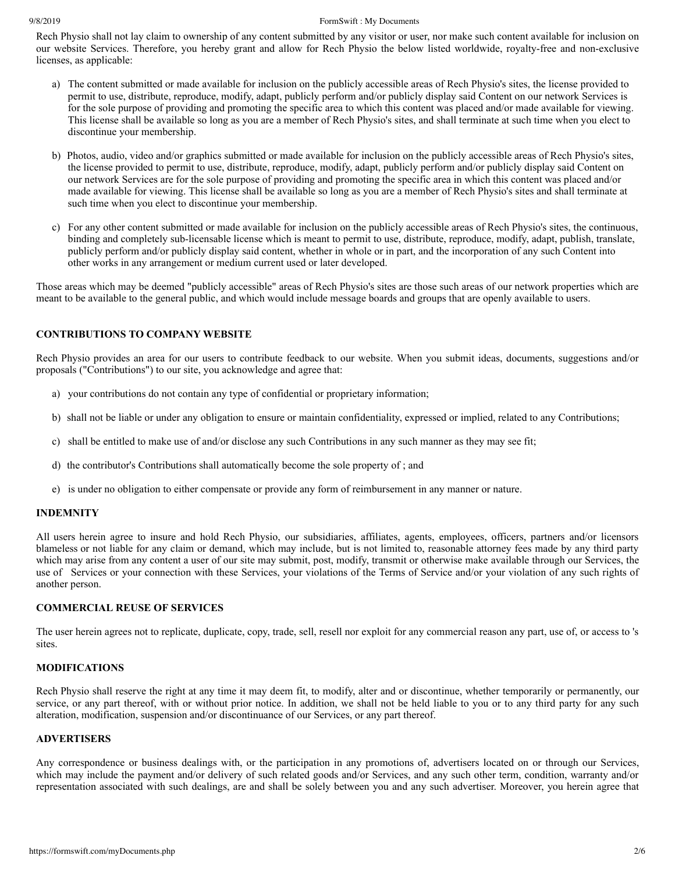#### 9/8/2019 FormSwift : My Documents

Rech Physio shall not lay claim to ownership of any content submitted by any visitor or user, nor make such content available for inclusion on our website Services. Therefore, you hereby grant and allow for Rech Physio the below listed worldwide, royalty-free and non-exclusive licenses, as applicable:

- a) The content submitted or made available for inclusion on the publicly accessible areas of Rech Physio's sites, the license provided to permit to use, distribute, reproduce, modify, adapt, publicly perform and/or publicly display said Content on our network Services is for the sole purpose of providing and promoting the specific area to which this content was placed and/or made available for viewing. This license shall be available so long as you are a member of Rech Physio's sites, and shall terminate at such time when you elect to discontinue your membership.
- b) Photos, audio, video and/or graphics submitted or made available for inclusion on the publicly accessible areas of Rech Physio's sites, the license provided to permit to use, distribute, reproduce, modify, adapt, publicly perform and/or publicly display said Content on our network Services are for the sole purpose of providing and promoting the specific area in which this content was placed and/or made available for viewing. This license shall be available so long as you are a member of Rech Physio's sites and shall terminate at such time when you elect to discontinue your membership.
- c) For any other content submitted or made available for inclusion on the publicly accessible areas of Rech Physio's sites, the continuous, binding and completely sub-licensable license which is meant to permit to use, distribute, reproduce, modify, adapt, publish, translate, publicly perform and/or publicly display said content, whether in whole or in part, and the incorporation of any such Content into other works in any arrangement or medium current used or later developed.

Those areas which may be deemed "publicly accessible" areas of Rech Physio's sites are those such areas of our network properties which are meant to be available to the general public, and which would include message boards and groups that are openly available to users.

#### **CONTRIBUTIONS TO COMPANY WEBSITE**

Rech Physio provides an area for our users to contribute feedback to our website. When you submit ideas, documents, suggestions and/or proposals ("Contributions") to our site, you acknowledge and agree that:

- a) your contributions do not contain any type of confidential or proprietary information;
- b) shall not be liable or under any obligation to ensure or maintain confidentiality, expressed or implied, related to any Contributions;
- c) shall be entitled to make use of and/or disclose any such Contributions in any such manner as they may see fit;
- d) the contributor's Contributions shall automatically become the sole property of ; and
- e) is under no obligation to either compensate or provide any form of reimbursement in any manner or nature.

#### **INDEMNITY**

All users herein agree to insure and hold Rech Physio, our subsidiaries, affiliates, agents, employees, officers, partners and/or licensors blameless or not liable for any claim or demand, which may include, but is not limited to, reasonable attorney fees made by any third party which may arise from any content a user of our site may submit, post, modify, transmit or otherwise make available through our Services, the use of Services or your connection with these Services, your violations of the Terms of Service and/or your violation of any such rights of another person.

#### **COMMERCIAL REUSE OF SERVICES**

The user herein agrees not to replicate, duplicate, copy, trade, sell, resell nor exploit for any commercial reason any part, use of, or access to 's sites.

#### **MODIFICATIONS**

Rech Physio shall reserve the right at any time it may deem fit, to modify, alter and or discontinue, whether temporarily or permanently, our service, or any part thereof, with or without prior notice. In addition, we shall not be held liable to you or to any third party for any such alteration, modification, suspension and/or discontinuance of our Services, or any part thereof.

#### **ADVERTISERS**

Any correspondence or business dealings with, or the participation in any promotions of, advertisers located on or through our Services, which may include the payment and/or delivery of such related goods and/or Services, and any such other term, condition, warranty and/or representation associated with such dealings, are and shall be solely between you and any such advertiser. Moreover, you herein agree that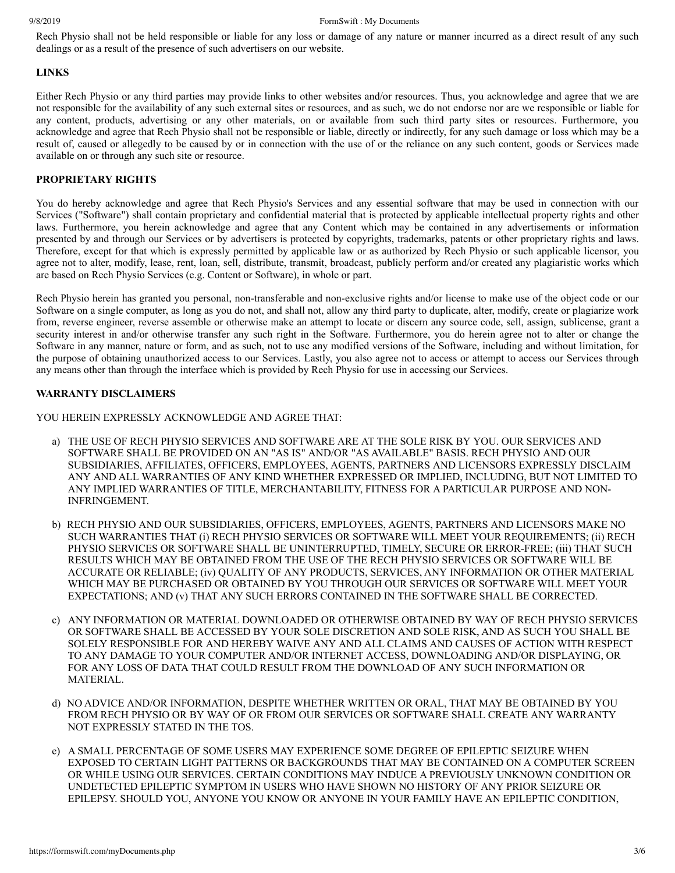Rech Physio shall not be held responsible or liable for any loss or damage of any nature or manner incurred as a direct result of any such dealings or as a result of the presence of such advertisers on our website.

#### **LINKS**

Either Rech Physio or any third parties may provide links to other websites and/or resources. Thus, you acknowledge and agree that we are not responsible for the availability of any such external sites or resources, and as such, we do not endorse nor are we responsible or liable for any content, products, advertising or any other materials, on or available from such third party sites or resources. Furthermore, you acknowledge and agree that Rech Physio shall not be responsible or liable, directly or indirectly, for any such damage or loss which may be a result of, caused or allegedly to be caused by or in connection with the use of or the reliance on any such content, goods or Services made available on or through any such site or resource.

## **PROPRIETARY RIGHTS**

You do hereby acknowledge and agree that Rech Physio's Services and any essential software that may be used in connection with our Services ("Software") shall contain proprietary and confidential material that is protected by applicable intellectual property rights and other laws. Furthermore, you herein acknowledge and agree that any Content which may be contained in any advertisements or information presented by and through our Services or by advertisers is protected by copyrights, trademarks, patents or other proprietary rights and laws. Therefore, except for that which is expressly permitted by applicable law or as authorized by Rech Physio or such applicable licensor, you agree not to alter, modify, lease, rent, loan, sell, distribute, transmit, broadcast, publicly perform and/or created any plagiaristic works which are based on Rech Physio Services (e.g. Content or Software), in whole or part.

Rech Physio herein has granted you personal, non-transferable and non-exclusive rights and/or license to make use of the object code or our Software on a single computer, as long as you do not, and shall not, allow any third party to duplicate, alter, modify, create or plagiarize work from, reverse engineer, reverse assemble or otherwise make an attempt to locate or discern any source code, sell, assign, sublicense, grant a security interest in and/or otherwise transfer any such right in the Software. Furthermore, you do herein agree not to alter or change the Software in any manner, nature or form, and as such, not to use any modified versions of the Software, including and without limitation, for the purpose of obtaining unauthorized access to our Services. Lastly, you also agree not to access or attempt to access our Services through any means other than through the interface which is provided by Rech Physio for use in accessing our Services.

## **WARRANTY DISCLAIMERS**

YOU HEREIN EXPRESSLY ACKNOWLEDGE AND AGREE THAT:

- a) THE USE OF RECH PHYSIO SERVICES AND SOFTWARE ARE AT THE SOLE RISK BY YOU. OUR SERVICES AND SOFTWARE SHALL BE PROVIDED ON AN "AS IS" AND/OR "AS AVAILABLE" BASIS. RECH PHYSIO AND OUR SUBSIDIARIES, AFFILIATES, OFFICERS, EMPLOYEES, AGENTS, PARTNERS AND LICENSORS EXPRESSLY DISCLAIM ANY AND ALL WARRANTIES OF ANY KIND WHETHER EXPRESSED OR IMPLIED, INCLUDING, BUT NOT LIMITED TO ANY IMPLIED WARRANTIES OF TITLE, MERCHANTABILITY, FITNESS FOR A PARTICULAR PURPOSE AND NON-INFRINGEMENT.
- b) RECH PHYSIO AND OUR SUBSIDIARIES, OFFICERS, EMPLOYEES, AGENTS, PARTNERS AND LICENSORS MAKE NO SUCH WARRANTIES THAT (i) RECH PHYSIO SERVICES OR SOFTWARE WILL MEET YOUR REQUIREMENTS; (ii) RECH PHYSIO SERVICES OR SOFTWARE SHALL BE UNINTERRUPTED, TIMELY, SECURE OR ERROR-FREE; (iii) THAT SUCH RESULTS WHICH MAY BE OBTAINED FROM THE USE OF THE RECH PHYSIO SERVICES OR SOFTWARE WILL BE ACCURATE OR RELIABLE; (iv) QUALITY OF ANY PRODUCTS, SERVICES, ANY INFORMATION OR OTHER MATERIAL WHICH MAY BE PURCHASED OR OBTAINED BY YOU THROUGH OUR SERVICES OR SOFTWARE WILL MEET YOUR EXPECTATIONS; AND (v) THAT ANY SUCH ERRORS CONTAINED IN THE SOFTWARE SHALL BE CORRECTED.
- c) ANY INFORMATION OR MATERIAL DOWNLOADED OR OTHERWISE OBTAINED BY WAY OF RECH PHYSIO SERVICES OR SOFTWARE SHALL BE ACCESSED BY YOUR SOLE DISCRETION AND SOLE RISK, AND AS SUCH YOU SHALL BE SOLELY RESPONSIBLE FOR AND HEREBY WAIVE ANY AND ALL CLAIMS AND CAUSES OF ACTION WITH RESPECT TO ANY DAMAGE TO YOUR COMPUTER AND/OR INTERNET ACCESS, DOWNLOADING AND/OR DISPLAYING, OR FOR ANY LOSS OF DATA THAT COULD RESULT FROM THE DOWNLOAD OF ANY SUCH INFORMATION OR MATERIAL.
- d) NO ADVICE AND/OR INFORMATION, DESPITE WHETHER WRITTEN OR ORAL, THAT MAY BE OBTAINED BY YOU FROM RECH PHYSIO OR BY WAY OF OR FROM OUR SERVICES OR SOFTWARE SHALL CREATE ANY WARRANTY NOT EXPRESSLY STATED IN THE TOS.
- e) A SMALL PERCENTAGE OF SOME USERS MAY EXPERIENCE SOME DEGREE OF EPILEPTIC SEIZURE WHEN EXPOSED TO CERTAIN LIGHT PATTERNS OR BACKGROUNDS THAT MAY BE CONTAINED ON A COMPUTER SCREEN OR WHILE USING OUR SERVICES. CERTAIN CONDITIONS MAY INDUCE A PREVIOUSLY UNKNOWN CONDITION OR UNDETECTED EPILEPTIC SYMPTOM IN USERS WHO HAVE SHOWN NO HISTORY OF ANY PRIOR SEIZURE OR EPILEPSY. SHOULD YOU, ANYONE YOU KNOW OR ANYONE IN YOUR FAMILY HAVE AN EPILEPTIC CONDITION,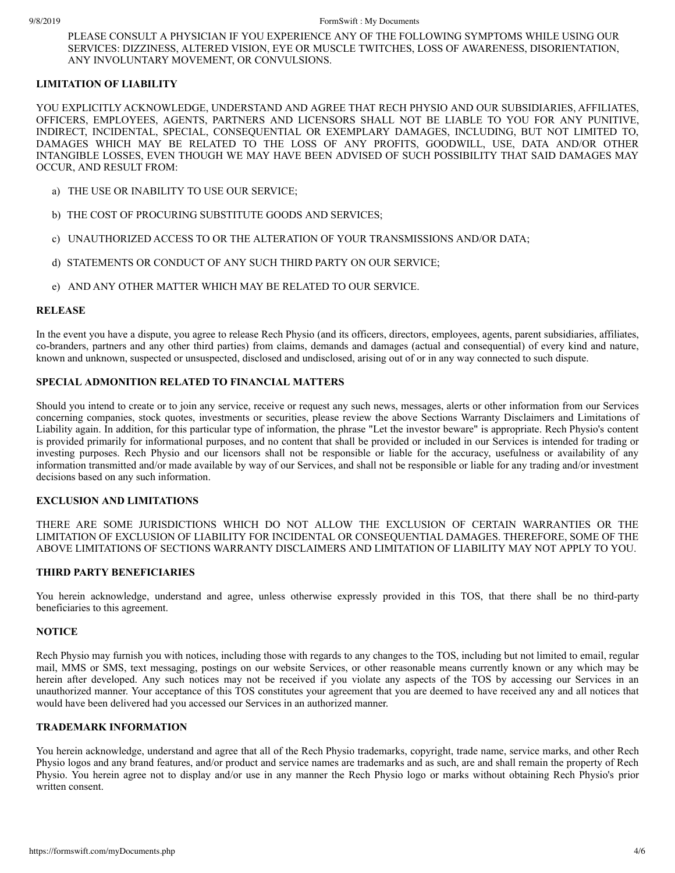PLEASE CONSULT A PHYSICIAN IF YOU EXPERIENCE ANY OF THE FOLLOWING SYMPTOMS WHILE USING OUR SERVICES: DIZZINESS, ALTERED VISION, EYE OR MUSCLE TWITCHES, LOSS OF AWARENESS, DISORIENTATION, ANY INVOLUNTARY MOVEMENT, OR CONVULSIONS.

### **LIMITATION OF LIABILITY**

YOU EXPLICITLY ACKNOWLEDGE, UNDERSTAND AND AGREE THAT RECH PHYSIO AND OUR SUBSIDIARIES, AFFILIATES, OFFICERS, EMPLOYEES, AGENTS, PARTNERS AND LICENSORS SHALL NOT BE LIABLE TO YOU FOR ANY PUNITIVE, INDIRECT, INCIDENTAL, SPECIAL, CONSEQUENTIAL OR EXEMPLARY DAMAGES, INCLUDING, BUT NOT LIMITED TO, DAMAGES WHICH MAY BE RELATED TO THE LOSS OF ANY PROFITS, GOODWILL, USE, DATA AND/OR OTHER INTANGIBLE LOSSES, EVEN THOUGH WE MAY HAVE BEEN ADVISED OF SUCH POSSIBILITY THAT SAID DAMAGES MAY OCCUR, AND RESULT FROM:

- a) THE USE OR INABILITY TO USE OUR SERVICE;
- b) THE COST OF PROCURING SUBSTITUTE GOODS AND SERVICES;
- c) UNAUTHORIZED ACCESS TO OR THE ALTERATION OF YOUR TRANSMISSIONS AND/OR DATA;
- d) STATEMENTS OR CONDUCT OF ANY SUCH THIRD PARTY ON OUR SERVICE;
- e) AND ANY OTHER MATTER WHICH MAY BE RELATED TO OUR SERVICE.

#### **RELEASE**

In the event you have a dispute, you agree to release Rech Physio (and its officers, directors, employees, agents, parent subsidiaries, affiliates, co-branders, partners and any other third parties) from claims, demands and damages (actual and consequential) of every kind and nature, known and unknown, suspected or unsuspected, disclosed and undisclosed, arising out of or in any way connected to such dispute.

## **SPECIAL ADMONITION RELATED TO FINANCIAL MATTERS**

Should you intend to create or to join any service, receive or request any such news, messages, alerts or other information from our Services concerning companies, stock quotes, investments or securities, please review the above Sections Warranty Disclaimers and Limitations of Liability again. In addition, for this particular type of information, the phrase "Let the investor beware" is appropriate. Rech Physio's content is provided primarily for informational purposes, and no content that shall be provided or included in our Services is intended for trading or investing purposes. Rech Physio and our licensors shall not be responsible or liable for the accuracy, usefulness or availability of any information transmitted and/or made available by way of our Services, and shall not be responsible or liable for any trading and/or investment decisions based on any such information.

#### **EXCLUSION AND LIMITATIONS**

THERE ARE SOME JURISDICTIONS WHICH DO NOT ALLOW THE EXCLUSION OF CERTAIN WARRANTIES OR THE LIMITATION OF EXCLUSION OF LIABILITY FOR INCIDENTAL OR CONSEQUENTIAL DAMAGES. THEREFORE, SOME OF THE ABOVE LIMITATIONS OF SECTIONS WARRANTY DISCLAIMERS AND LIMITATION OF LIABILITY MAY NOT APPLY TO YOU.

#### **THIRD PARTY BENEFICIARIES**

You herein acknowledge, understand and agree, unless otherwise expressly provided in this TOS, that there shall be no third-party beneficiaries to this agreement.

#### **NOTICE**

Rech Physio may furnish you with notices, including those with regards to any changes to the TOS, including but not limited to email, regular mail, MMS or SMS, text messaging, postings on our website Services, or other reasonable means currently known or any which may be herein after developed. Any such notices may not be received if you violate any aspects of the TOS by accessing our Services in an unauthorized manner. Your acceptance of this TOS constitutes your agreement that you are deemed to have received any and all notices that would have been delivered had you accessed our Services in an authorized manner.

#### **TRADEMARK INFORMATION**

You herein acknowledge, understand and agree that all of the Rech Physio trademarks, copyright, trade name, service marks, and other Rech Physio logos and any brand features, and/or product and service names are trademarks and as such, are and shall remain the property of Rech Physio. You herein agree not to display and/or use in any manner the Rech Physio logo or marks without obtaining Rech Physio's prior written consent.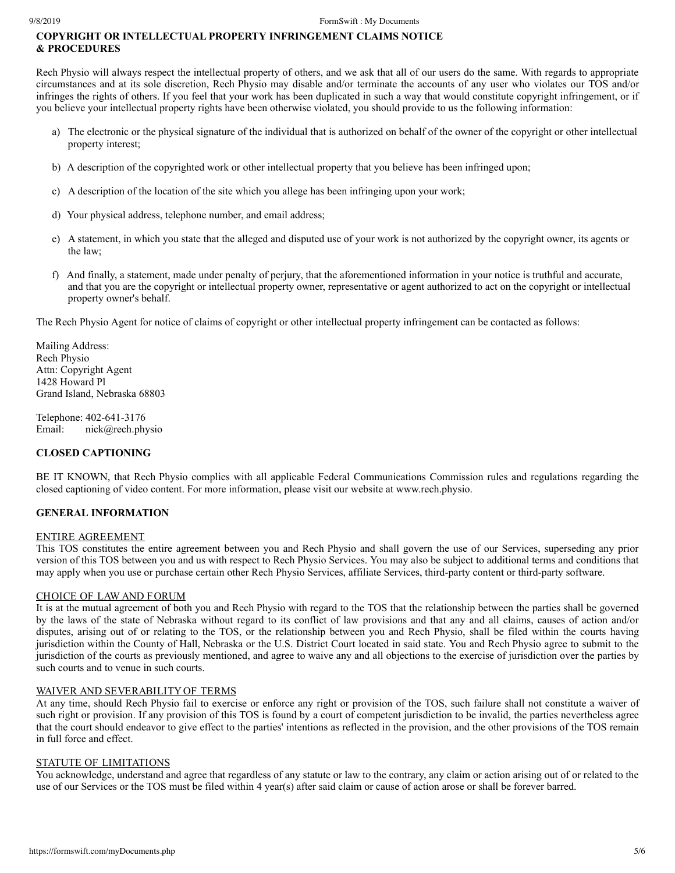## **COPYRIGHT OR INTELLECTUAL PROPERTY INFRINGEMENT CLAIMS NOTICE & PROCEDURES**

Rech Physio will always respect the intellectual property of others, and we ask that all of our users do the same. With regards to appropriate circumstances and at its sole discretion, Rech Physio may disable and/or terminate the accounts of any user who violates our TOS and/or infringes the rights of others. If you feel that your work has been duplicated in such a way that would constitute copyright infringement, or if you believe your intellectual property rights have been otherwise violated, you should provide to us the following information:

- a) The electronic or the physical signature of the individual that is authorized on behalf of the owner of the copyright or other intellectual property interest;
- b) A description of the copyrighted work or other intellectual property that you believe has been infringed upon;
- c) A description of the location of the site which you allege has been infringing upon your work;
- d) Your physical address, telephone number, and email address;
- e) A statement, in which you state that the alleged and disputed use of your work is not authorized by the copyright owner, its agents or the law;
- f) And finally, a statement, made under penalty of perjury, that the aforementioned information in your notice is truthful and accurate, and that you are the copyright or intellectual property owner, representative or agent authorized to act on the copyright or intellectual property owner's behalf.

The Rech Physio Agent for notice of claims of copyright or other intellectual property infringement can be contacted as follows:

Mailing Address: Rech Physio Attn: Copyright Agent 1428 Howard Pl Grand Island, Nebraska 68803

Telephone: 402-641-3176 Email: nick@rech.physio

#### **CLOSED CAPTIONING**

BE IT KNOWN, that Rech Physio complies with all applicable Federal Communications Commission rules and regulations regarding the closed captioning of video content. For more information, please visit our website at www.rech.physio.

#### **GENERAL INFORMATION**

#### ENTIRE AGREEMENT

This TOS constitutes the entire agreement between you and Rech Physio and shall govern the use of our Services, superseding any prior version of this TOS between you and us with respect to Rech Physio Services. You may also be subject to additional terms and conditions that may apply when you use or purchase certain other Rech Physio Services, affiliate Services, third-party content or third-party software.

#### CHOICE OF LAW AND FORUM

It is at the mutual agreement of both you and Rech Physio with regard to the TOS that the relationship between the parties shall be governed by the laws of the state of Nebraska without regard to its conflict of law provisions and that any and all claims, causes of action and/or disputes, arising out of or relating to the TOS, or the relationship between you and Rech Physio, shall be filed within the courts having jurisdiction within the County of Hall, Nebraska or the U.S. District Court located in said state. You and Rech Physio agree to submit to the jurisdiction of the courts as previously mentioned, and agree to waive any and all objections to the exercise of jurisdiction over the parties by such courts and to venue in such courts.

#### WAIVER AND SEVERABILITY OF TERMS

At any time, should Rech Physio fail to exercise or enforce any right or provision of the TOS, such failure shall not constitute a waiver of such right or provision. If any provision of this TOS is found by a court of competent jurisdiction to be invalid, the parties nevertheless agree that the court should endeavor to give effect to the parties' intentions as reflected in the provision, and the other provisions of the TOS remain in full force and effect.

## STATUTE OF LIMITATIONS

You acknowledge, understand and agree that regardless of any statute or law to the contrary, any claim or action arising out of or related to the use of our Services or the TOS must be filed within 4 year(s) after said claim or cause of action arose or shall be forever barred.